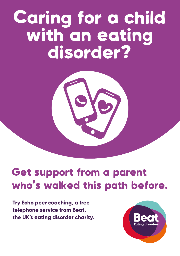# Caring for a child with an eating disorder?



# Get support from a parent who's walked this path before.

**Try Echo peer coaching, a free telephone service from Beat, the UK's eating disorder charity.**

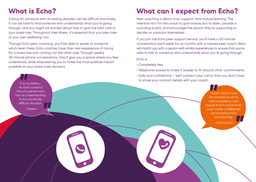## What is Echo?

Caring for someone with an eating disorder can be difficult and lonely. It can be hard to find someone who understands what you're going through, and you might be worried about how to give the best care to your loved one. Throughout their illness, it's essential that you take care of your own wellbeing, too.

Through Echo peer coaching, you'll be able to speak to someone who's been there. Echo coaches have their own experience of caring for a loved one and coming out the other side. Through weekly 30-minute phone conversations, they'll give you a space where you feel understood, while empowering you to make the most positive impact possible on your loved one's recovery.

#### What can I expect from Echo?

Peer coaching is about trust, support, and mutual learning. The intention isn't for the coach to give advice, but to listen, provide a sounding board, and encourage the person they're supporting to decide on solutions themselves.

If you join the Echo peer support service, you'll have a 30-minute conversation each week for six months with a trained peer coach. Beat will match you with a person with similar experiences to ensure that you're able to talk to someone who understands what you're going through.

Echo is:

- Completely free.
- Telephone-based to make it simpler to fit around other commitments.
- Safe and confidential we'll connect your call so that you don't have to share your contact details with your coach.

I knew I didn't have the answers to all my I knew I didn't have<br>the answers to all my<br>carer's problems, but I hoped that in some small way I made a difference just by being there and listening. – Echo coach "

It is my lifeline… my Echo coach is the only person who has an understanding in this horrifically difficult situation. [<br>|t is m<sub>}</sub><br>ny Echo<br>! only !

– Parent

"